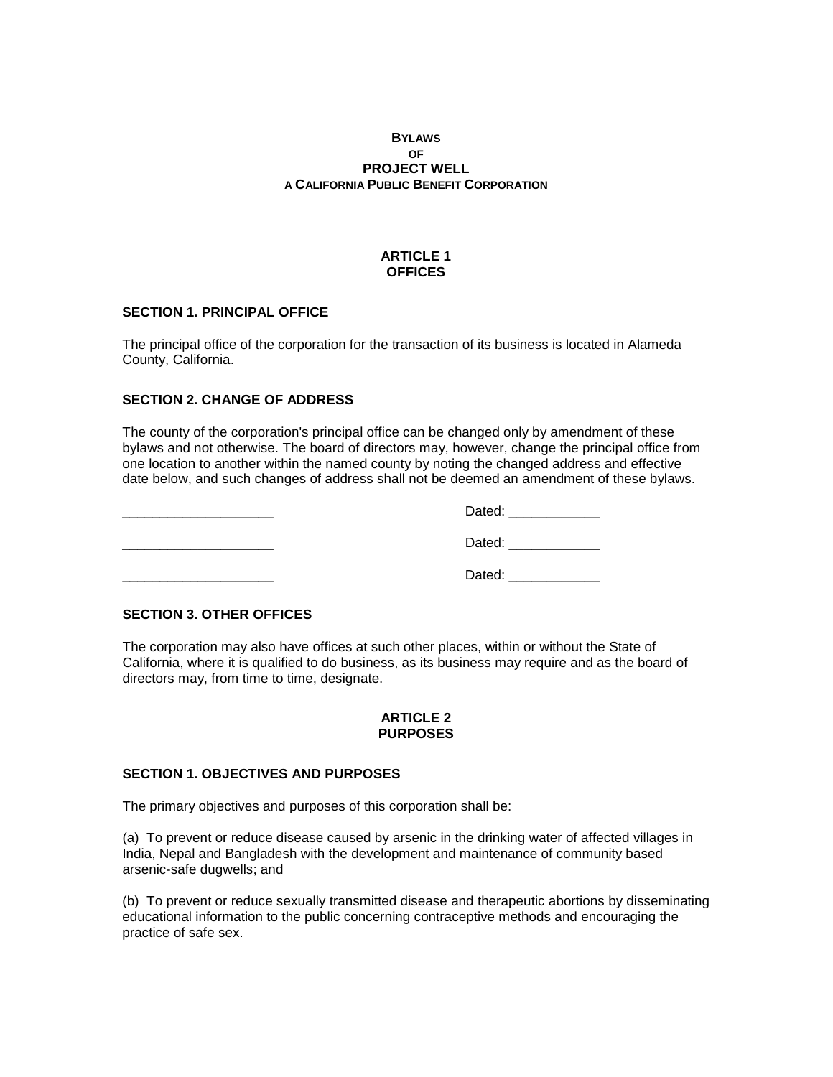#### **BYLAWS OF PROJECT WELL A CALIFORNIA PUBLIC BENEFIT CORPORATION**

## **ARTICLE 1 OFFICES**

### **SECTION 1. PRINCIPAL OFFICE**

The principal office of the corporation for the transaction of its business is located in Alameda County, California.

# **SECTION 2. CHANGE OF ADDRESS**

The county of the corporation's principal office can be changed only by amendment of these bylaws and not otherwise. The board of directors may, however, change the principal office from one location to another within the named county by noting the changed address and effective date below, and such changes of address shall not be deemed an amendment of these bylaws.

| Dated: |
|--------|
| Dated: |
| Dated: |

### **SECTION 3. OTHER OFFICES**

The corporation may also have offices at such other places, within or without the State of California, where it is qualified to do business, as its business may require and as the board of directors may, from time to time, designate.

#### **ARTICLE 2 PURPOSES**

### **SECTION 1. OBJECTIVES AND PURPOSES**

The primary objectives and purposes of this corporation shall be:

(a) To prevent or reduce disease caused by arsenic in the drinking water of affected villages in India, Nepal and Bangladesh with the development and maintenance of community based arsenic-safe dugwells; and

(b) To prevent or reduce sexually transmitted disease and therapeutic abortions by disseminating educational information to the public concerning contraceptive methods and encouraging the practice of safe sex.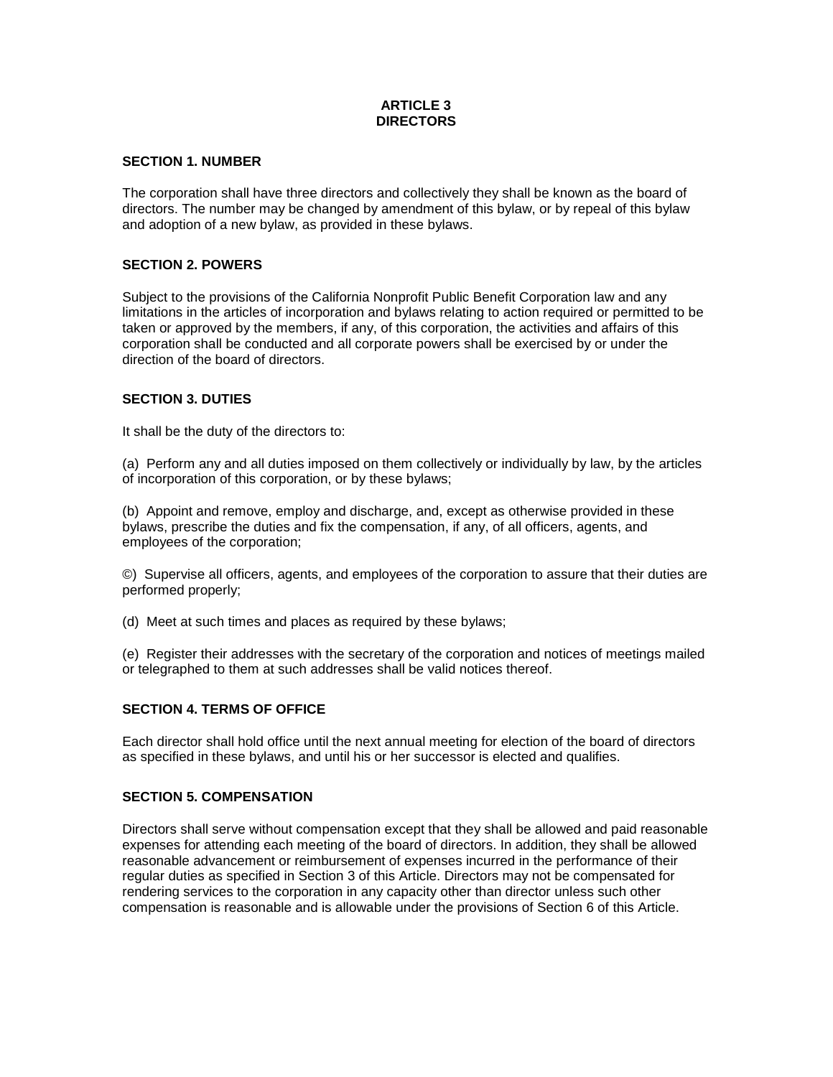## **ARTICLE 3 DIRECTORS**

#### **SECTION 1. NUMBER**

The corporation shall have three directors and collectively they shall be known as the board of directors. The number may be changed by amendment of this bylaw, or by repeal of this bylaw and adoption of a new bylaw, as provided in these bylaws.

### **SECTION 2. POWERS**

Subject to the provisions of the California Nonprofit Public Benefit Corporation law and any limitations in the articles of incorporation and bylaws relating to action required or permitted to be taken or approved by the members, if any, of this corporation, the activities and affairs of this corporation shall be conducted and all corporate powers shall be exercised by or under the direction of the board of directors.

## **SECTION 3. DUTIES**

It shall be the duty of the directors to:

(a) Perform any and all duties imposed on them collectively or individually by law, by the articles of incorporation of this corporation, or by these bylaws;

(b) Appoint and remove, employ and discharge, and, except as otherwise provided in these bylaws, prescribe the duties and fix the compensation, if any, of all officers, agents, and employees of the corporation;

©) Supervise all officers, agents, and employees of the corporation to assure that their duties are performed properly;

(d) Meet at such times and places as required by these bylaws;

(e) Register their addresses with the secretary of the corporation and notices of meetings mailed or telegraphed to them at such addresses shall be valid notices thereof.

### **SECTION 4. TERMS OF OFFICE**

Each director shall hold office until the next annual meeting for election of the board of directors as specified in these bylaws, and until his or her successor is elected and qualifies.

### **SECTION 5. COMPENSATION**

Directors shall serve without compensation except that they shall be allowed and paid reasonable expenses for attending each meeting of the board of directors. In addition, they shall be allowed reasonable advancement or reimbursement of expenses incurred in the performance of their regular duties as specified in Section 3 of this Article. Directors may not be compensated for rendering services to the corporation in any capacity other than director unless such other compensation is reasonable and is allowable under the provisions of Section 6 of this Article.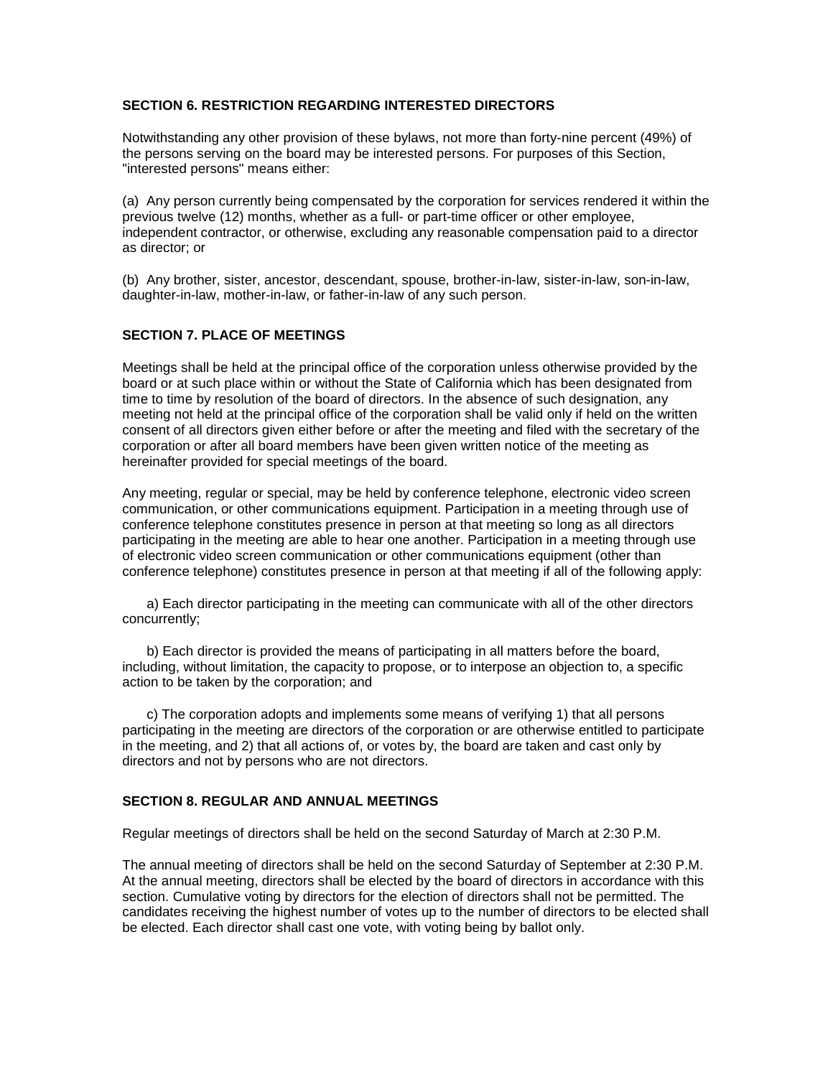## **SECTION 6. RESTRICTION REGARDING INTERESTED DIRECTORS**

Notwithstanding any other provision of these bylaws, not more than forty-nine percent (49%) of the persons serving on the board may be interested persons. For purposes of this Section, "interested persons" means either:

(a) Any person currently being compensated by the corporation for services rendered it within the previous twelve (12) months, whether as a full- or part-time officer or other employee, independent contractor, or otherwise, excluding any reasonable compensation paid to a director as director; or

(b) Any brother, sister, ancestor, descendant, spouse, brother-in-law, sister-in-law, son-in-law, daughter-in-law, mother-in-law, or father-in-law of any such person.

## **SECTION 7. PLACE OF MEETINGS**

Meetings shall be held at the principal office of the corporation unless otherwise provided by the board or at such place within or without the State of California which has been designated from time to time by resolution of the board of directors. In the absence of such designation, any meeting not held at the principal office of the corporation shall be valid only if held on the written consent of all directors given either before or after the meeting and filed with the secretary of the corporation or after all board members have been given written notice of the meeting as hereinafter provided for special meetings of the board.

Any meeting, regular or special, may be held by conference telephone, electronic video screen communication, or other communications equipment. Participation in a meeting through use of conference telephone constitutes presence in person at that meeting so long as all directors participating in the meeting are able to hear one another. Participation in a meeting through use of electronic video screen communication or other communications equipment (other than conference telephone) constitutes presence in person at that meeting if all of the following apply:

a) Each director participating in the meeting can communicate with all of the other directors concurrently;

b) Each director is provided the means of participating in all matters before the board, including, without limitation, the capacity to propose, or to interpose an objection to, a specific action to be taken by the corporation; and

c) The corporation adopts and implements some means of verifying 1) that all persons participating in the meeting are directors of the corporation or are otherwise entitled to participate in the meeting, and 2) that all actions of, or votes by, the board are taken and cast only by directors and not by persons who are not directors.

### **SECTION 8. REGULAR AND ANNUAL MEETINGS**

Regular meetings of directors shall be held on the second Saturday of March at 2:30 P.M.

The annual meeting of directors shall be held on the second Saturday of September at 2:30 P.M. At the annual meeting, directors shall be elected by the board of directors in accordance with this section. Cumulative voting by directors for the election of directors shall not be permitted. The candidates receiving the highest number of votes up to the number of directors to be elected shall be elected. Each director shall cast one vote, with voting being by ballot only.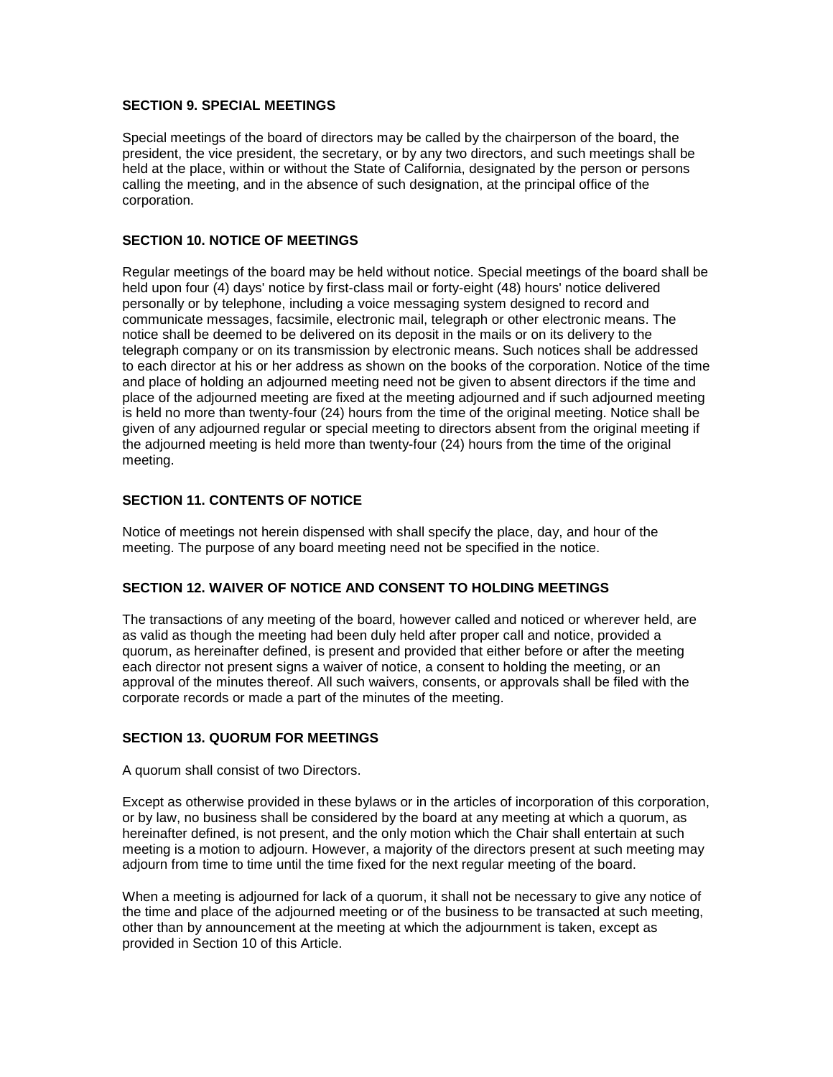## **SECTION 9. SPECIAL MEETINGS**

Special meetings of the board of directors may be called by the chairperson of the board, the president, the vice president, the secretary, or by any two directors, and such meetings shall be held at the place, within or without the State of California, designated by the person or persons calling the meeting, and in the absence of such designation, at the principal office of the corporation.

## **SECTION 10. NOTICE OF MEETINGS**

Regular meetings of the board may be held without notice. Special meetings of the board shall be held upon four (4) days' notice by first-class mail or forty-eight (48) hours' notice delivered personally or by telephone, including a voice messaging system designed to record and communicate messages, facsimile, electronic mail, telegraph or other electronic means. The notice shall be deemed to be delivered on its deposit in the mails or on its delivery to the telegraph company or on its transmission by electronic means. Such notices shall be addressed to each director at his or her address as shown on the books of the corporation. Notice of the time and place of holding an adjourned meeting need not be given to absent directors if the time and place of the adjourned meeting are fixed at the meeting adjourned and if such adjourned meeting is held no more than twenty-four (24) hours from the time of the original meeting. Notice shall be given of any adjourned regular or special meeting to directors absent from the original meeting if the adjourned meeting is held more than twenty-four (24) hours from the time of the original meeting.

## **SECTION 11. CONTENTS OF NOTICE**

Notice of meetings not herein dispensed with shall specify the place, day, and hour of the meeting. The purpose of any board meeting need not be specified in the notice.

### **SECTION 12. WAIVER OF NOTICE AND CONSENT TO HOLDING MEETINGS**

The transactions of any meeting of the board, however called and noticed or wherever held, are as valid as though the meeting had been duly held after proper call and notice, provided a quorum, as hereinafter defined, is present and provided that either before or after the meeting each director not present signs a waiver of notice, a consent to holding the meeting, or an approval of the minutes thereof. All such waivers, consents, or approvals shall be filed with the corporate records or made a part of the minutes of the meeting.

### **SECTION 13. QUORUM FOR MEETINGS**

A quorum shall consist of two Directors.

Except as otherwise provided in these bylaws or in the articles of incorporation of this corporation, or by law, no business shall be considered by the board at any meeting at which a quorum, as hereinafter defined, is not present, and the only motion which the Chair shall entertain at such meeting is a motion to adjourn. However, a majority of the directors present at such meeting may adjourn from time to time until the time fixed for the next regular meeting of the board.

When a meeting is adjourned for lack of a quorum, it shall not be necessary to give any notice of the time and place of the adjourned meeting or of the business to be transacted at such meeting, other than by announcement at the meeting at which the adjournment is taken, except as provided in Section 10 of this Article.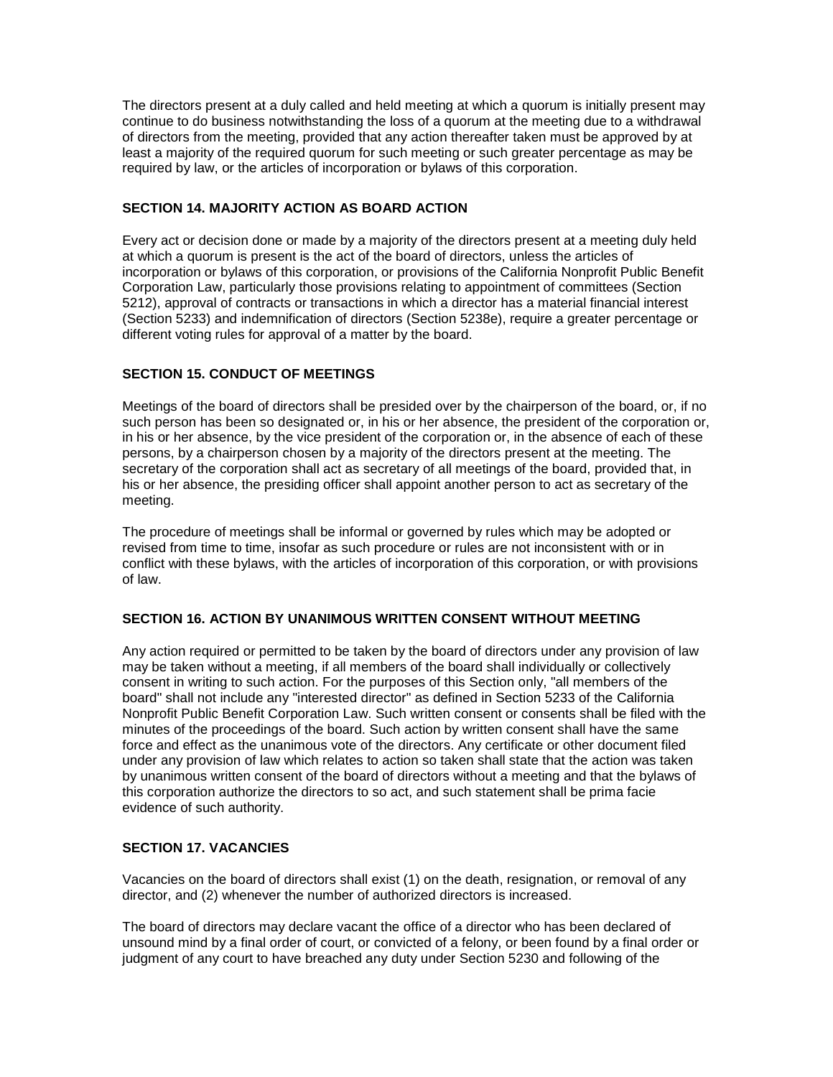The directors present at a duly called and held meeting at which a quorum is initially present may continue to do business notwithstanding the loss of a quorum at the meeting due to a withdrawal of directors from the meeting, provided that any action thereafter taken must be approved by at least a majority of the required quorum for such meeting or such greater percentage as may be required by law, or the articles of incorporation or bylaws of this corporation.

# **SECTION 14. MAJORITY ACTION AS BOARD ACTION**

Every act or decision done or made by a majority of the directors present at a meeting duly held at which a quorum is present is the act of the board of directors, unless the articles of incorporation or bylaws of this corporation, or provisions of the California Nonprofit Public Benefit Corporation Law, particularly those provisions relating to appointment of committees (Section 5212), approval of contracts or transactions in which a director has a material financial interest (Section 5233) and indemnification of directors (Section 5238e), require a greater percentage or different voting rules for approval of a matter by the board.

# **SECTION 15. CONDUCT OF MEETINGS**

Meetings of the board of directors shall be presided over by the chairperson of the board, or, if no such person has been so designated or, in his or her absence, the president of the corporation or, in his or her absence, by the vice president of the corporation or, in the absence of each of these persons, by a chairperson chosen by a majority of the directors present at the meeting. The secretary of the corporation shall act as secretary of all meetings of the board, provided that, in his or her absence, the presiding officer shall appoint another person to act as secretary of the meeting.

The procedure of meetings shall be informal or governed by rules which may be adopted or revised from time to time, insofar as such procedure or rules are not inconsistent with or in conflict with these bylaws, with the articles of incorporation of this corporation, or with provisions of law.

# **SECTION 16. ACTION BY UNANIMOUS WRITTEN CONSENT WITHOUT MEETING**

Any action required or permitted to be taken by the board of directors under any provision of law may be taken without a meeting, if all members of the board shall individually or collectively consent in writing to such action. For the purposes of this Section only, "all members of the board" shall not include any "interested director" as defined in Section 5233 of the California Nonprofit Public Benefit Corporation Law. Such written consent or consents shall be filed with the minutes of the proceedings of the board. Such action by written consent shall have the same force and effect as the unanimous vote of the directors. Any certificate or other document filed under any provision of law which relates to action so taken shall state that the action was taken by unanimous written consent of the board of directors without a meeting and that the bylaws of this corporation authorize the directors to so act, and such statement shall be prima facie evidence of such authority.

# **SECTION 17. VACANCIES**

Vacancies on the board of directors shall exist (1) on the death, resignation, or removal of any director, and (2) whenever the number of authorized directors is increased.

The board of directors may declare vacant the office of a director who has been declared of unsound mind by a final order of court, or convicted of a felony, or been found by a final order or judgment of any court to have breached any duty under Section 5230 and following of the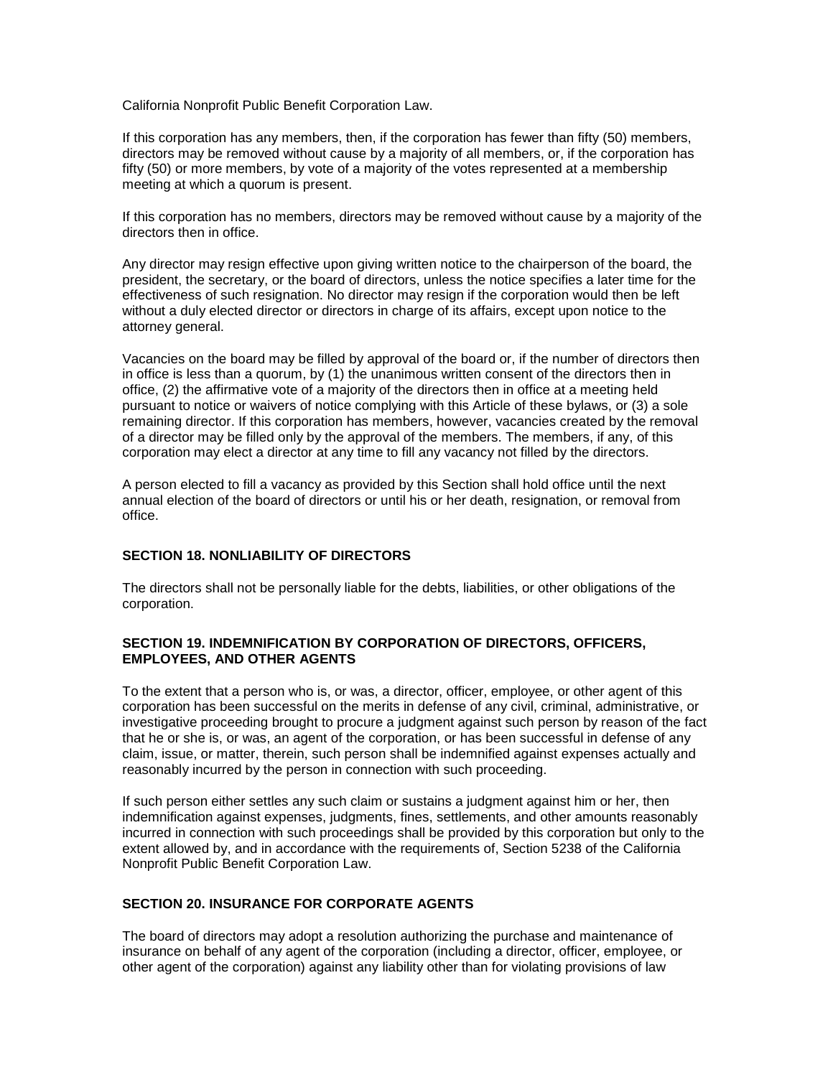California Nonprofit Public Benefit Corporation Law.

If this corporation has any members, then, if the corporation has fewer than fifty (50) members, directors may be removed without cause by a majority of all members, or, if the corporation has fifty (50) or more members, by vote of a majority of the votes represented at a membership meeting at which a quorum is present.

If this corporation has no members, directors may be removed without cause by a majority of the directors then in office.

Any director may resign effective upon giving written notice to the chairperson of the board, the president, the secretary, or the board of directors, unless the notice specifies a later time for the effectiveness of such resignation. No director may resign if the corporation would then be left without a duly elected director or directors in charge of its affairs, except upon notice to the attorney general.

Vacancies on the board may be filled by approval of the board or, if the number of directors then in office is less than a quorum, by (1) the unanimous written consent of the directors then in office, (2) the affirmative vote of a majority of the directors then in office at a meeting held pursuant to notice or waivers of notice complying with this Article of these bylaws, or (3) a sole remaining director. If this corporation has members, however, vacancies created by the removal of a director may be filled only by the approval of the members. The members, if any, of this corporation may elect a director at any time to fill any vacancy not filled by the directors.

A person elected to fill a vacancy as provided by this Section shall hold office until the next annual election of the board of directors or until his or her death, resignation, or removal from office.

## **SECTION 18. NONLIABILITY OF DIRECTORS**

The directors shall not be personally liable for the debts, liabilities, or other obligations of the corporation.

### **SECTION 19. INDEMNIFICATION BY CORPORATION OF DIRECTORS, OFFICERS, EMPLOYEES, AND OTHER AGENTS**

To the extent that a person who is, or was, a director, officer, employee, or other agent of this corporation has been successful on the merits in defense of any civil, criminal, administrative, or investigative proceeding brought to procure a judgment against such person by reason of the fact that he or she is, or was, an agent of the corporation, or has been successful in defense of any claim, issue, or matter, therein, such person shall be indemnified against expenses actually and reasonably incurred by the person in connection with such proceeding.

If such person either settles any such claim or sustains a judgment against him or her, then indemnification against expenses, judgments, fines, settlements, and other amounts reasonably incurred in connection with such proceedings shall be provided by this corporation but only to the extent allowed by, and in accordance with the requirements of, Section 5238 of the California Nonprofit Public Benefit Corporation Law.

#### **SECTION 20. INSURANCE FOR CORPORATE AGENTS**

The board of directors may adopt a resolution authorizing the purchase and maintenance of insurance on behalf of any agent of the corporation (including a director, officer, employee, or other agent of the corporation) against any liability other than for violating provisions of law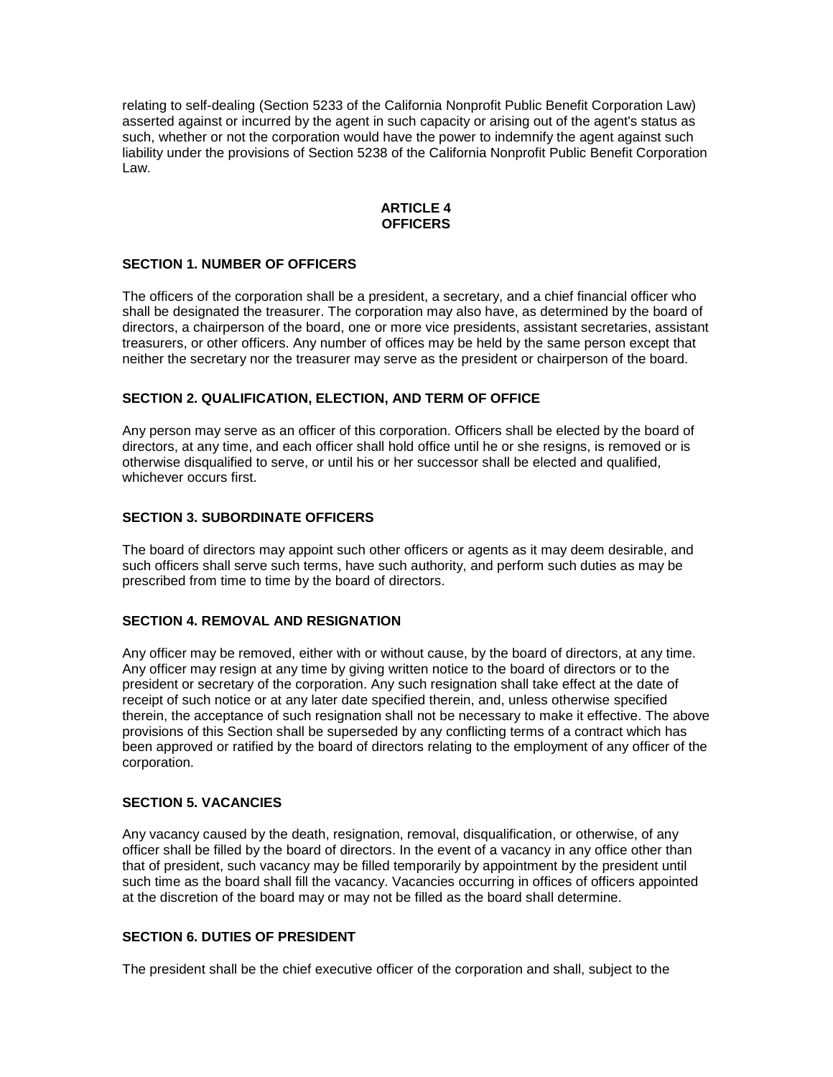relating to self-dealing (Section 5233 of the California Nonprofit Public Benefit Corporation Law) asserted against or incurred by the agent in such capacity or arising out of the agent's status as such, whether or not the corporation would have the power to indemnify the agent against such liability under the provisions of Section 5238 of the California Nonprofit Public Benefit Corporation Law.

#### **ARTICLE 4 OFFICERS**

### **SECTION 1. NUMBER OF OFFICERS**

The officers of the corporation shall be a president, a secretary, and a chief financial officer who shall be designated the treasurer. The corporation may also have, as determined by the board of directors, a chairperson of the board, one or more vice presidents, assistant secretaries, assistant treasurers, or other officers. Any number of offices may be held by the same person except that neither the secretary nor the treasurer may serve as the president or chairperson of the board.

### **SECTION 2. QUALIFICATION, ELECTION, AND TERM OF OFFICE**

Any person may serve as an officer of this corporation. Officers shall be elected by the board of directors, at any time, and each officer shall hold office until he or she resigns, is removed or is otherwise disqualified to serve, or until his or her successor shall be elected and qualified, whichever occurs first.

#### **SECTION 3. SUBORDINATE OFFICERS**

The board of directors may appoint such other officers or agents as it may deem desirable, and such officers shall serve such terms, have such authority, and perform such duties as may be prescribed from time to time by the board of directors.

### **SECTION 4. REMOVAL AND RESIGNATION**

Any officer may be removed, either with or without cause, by the board of directors, at any time. Any officer may resign at any time by giving written notice to the board of directors or to the president or secretary of the corporation. Any such resignation shall take effect at the date of receipt of such notice or at any later date specified therein, and, unless otherwise specified therein, the acceptance of such resignation shall not be necessary to make it effective. The above provisions of this Section shall be superseded by any conflicting terms of a contract which has been approved or ratified by the board of directors relating to the employment of any officer of the corporation.

#### **SECTION 5. VACANCIES**

Any vacancy caused by the death, resignation, removal, disqualification, or otherwise, of any officer shall be filled by the board of directors. In the event of a vacancy in any office other than that of president, such vacancy may be filled temporarily by appointment by the president until such time as the board shall fill the vacancy. Vacancies occurring in offices of officers appointed at the discretion of the board may or may not be filled as the board shall determine.

#### **SECTION 6. DUTIES OF PRESIDENT**

The president shall be the chief executive officer of the corporation and shall, subject to the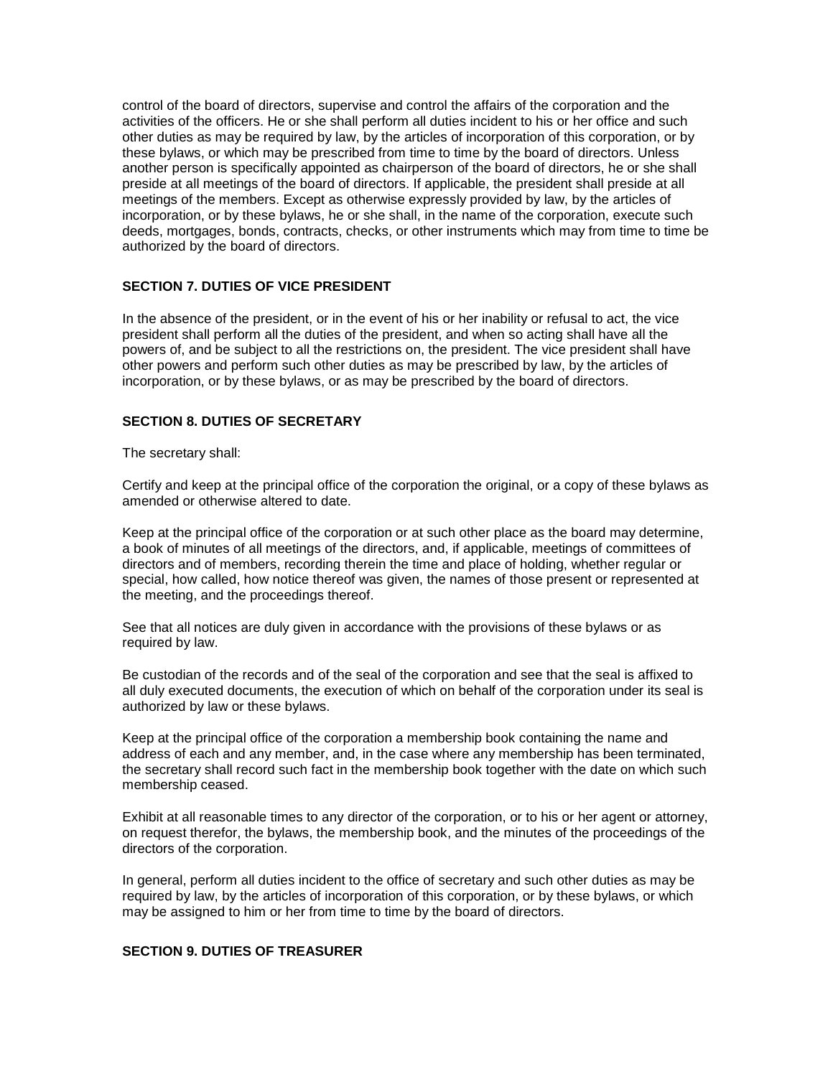control of the board of directors, supervise and control the affairs of the corporation and the activities of the officers. He or she shall perform all duties incident to his or her office and such other duties as may be required by law, by the articles of incorporation of this corporation, or by these bylaws, or which may be prescribed from time to time by the board of directors. Unless another person is specifically appointed as chairperson of the board of directors, he or she shall preside at all meetings of the board of directors. If applicable, the president shall preside at all meetings of the members. Except as otherwise expressly provided by law, by the articles of incorporation, or by these bylaws, he or she shall, in the name of the corporation, execute such deeds, mortgages, bonds, contracts, checks, or other instruments which may from time to time be authorized by the board of directors.

## **SECTION 7. DUTIES OF VICE PRESIDENT**

In the absence of the president, or in the event of his or her inability or refusal to act, the vice president shall perform all the duties of the president, and when so acting shall have all the powers of, and be subject to all the restrictions on, the president. The vice president shall have other powers and perform such other duties as may be prescribed by law, by the articles of incorporation, or by these bylaws, or as may be prescribed by the board of directors.

## **SECTION 8. DUTIES OF SECRETARY**

The secretary shall:

Certify and keep at the principal office of the corporation the original, or a copy of these bylaws as amended or otherwise altered to date.

Keep at the principal office of the corporation or at such other place as the board may determine, a book of minutes of all meetings of the directors, and, if applicable, meetings of committees of directors and of members, recording therein the time and place of holding, whether regular or special, how called, how notice thereof was given, the names of those present or represented at the meeting, and the proceedings thereof.

See that all notices are duly given in accordance with the provisions of these bylaws or as required by law.

Be custodian of the records and of the seal of the corporation and see that the seal is affixed to all duly executed documents, the execution of which on behalf of the corporation under its seal is authorized by law or these bylaws.

Keep at the principal office of the corporation a membership book containing the name and address of each and any member, and, in the case where any membership has been terminated, the secretary shall record such fact in the membership book together with the date on which such membership ceased.

Exhibit at all reasonable times to any director of the corporation, or to his or her agent or attorney, on request therefor, the bylaws, the membership book, and the minutes of the proceedings of the directors of the corporation.

In general, perform all duties incident to the office of secretary and such other duties as may be required by law, by the articles of incorporation of this corporation, or by these bylaws, or which may be assigned to him or her from time to time by the board of directors.

### **SECTION 9. DUTIES OF TREASURER**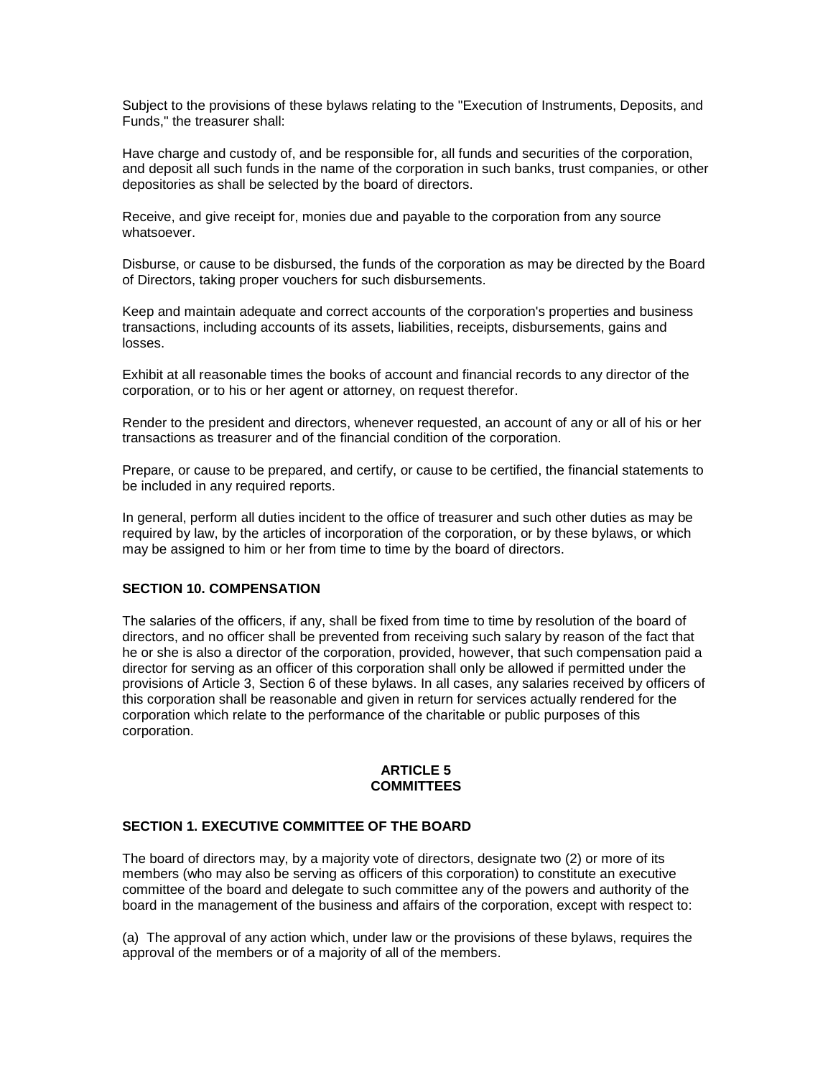Subject to the provisions of these bylaws relating to the "Execution of Instruments, Deposits, and Funds," the treasurer shall:

Have charge and custody of, and be responsible for, all funds and securities of the corporation, and deposit all such funds in the name of the corporation in such banks, trust companies, or other depositories as shall be selected by the board of directors.

Receive, and give receipt for, monies due and payable to the corporation from any source whatsoever.

Disburse, or cause to be disbursed, the funds of the corporation as may be directed by the Board of Directors, taking proper vouchers for such disbursements.

Keep and maintain adequate and correct accounts of the corporation's properties and business transactions, including accounts of its assets, liabilities, receipts, disbursements, gains and losses.

Exhibit at all reasonable times the books of account and financial records to any director of the corporation, or to his or her agent or attorney, on request therefor.

Render to the president and directors, whenever requested, an account of any or all of his or her transactions as treasurer and of the financial condition of the corporation.

Prepare, or cause to be prepared, and certify, or cause to be certified, the financial statements to be included in any required reports.

In general, perform all duties incident to the office of treasurer and such other duties as may be required by law, by the articles of incorporation of the corporation, or by these bylaws, or which may be assigned to him or her from time to time by the board of directors.

### **SECTION 10. COMPENSATION**

The salaries of the officers, if any, shall be fixed from time to time by resolution of the board of directors, and no officer shall be prevented from receiving such salary by reason of the fact that he or she is also a director of the corporation, provided, however, that such compensation paid a director for serving as an officer of this corporation shall only be allowed if permitted under the provisions of Article 3, Section 6 of these bylaws. In all cases, any salaries received by officers of this corporation shall be reasonable and given in return for services actually rendered for the corporation which relate to the performance of the charitable or public purposes of this corporation.

#### **ARTICLE 5 COMMITTEES**

### **SECTION 1. EXECUTIVE COMMITTEE OF THE BOARD**

The board of directors may, by a majority vote of directors, designate two (2) or more of its members (who may also be serving as officers of this corporation) to constitute an executive committee of the board and delegate to such committee any of the powers and authority of the board in the management of the business and affairs of the corporation, except with respect to:

(a) The approval of any action which, under law or the provisions of these bylaws, requires the approval of the members or of a majority of all of the members.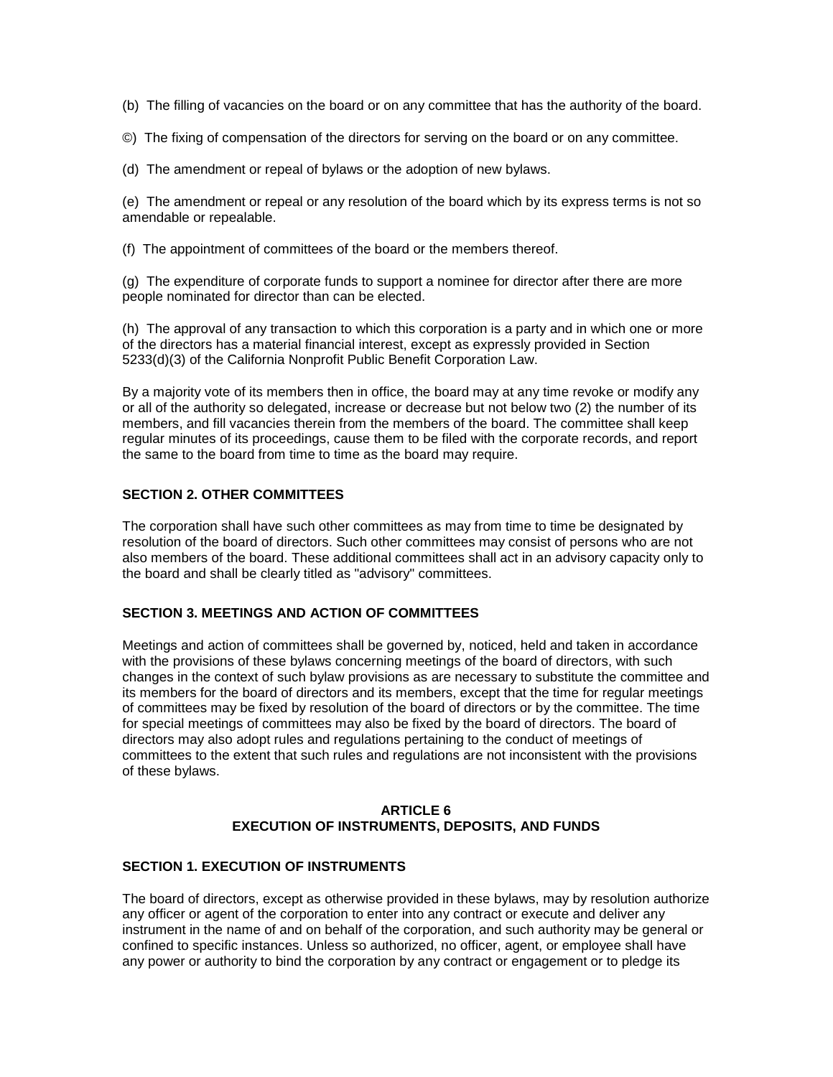(b) The filling of vacancies on the board or on any committee that has the authority of the board.

©) The fixing of compensation of the directors for serving on the board or on any committee.

(d) The amendment or repeal of bylaws or the adoption of new bylaws.

(e) The amendment or repeal or any resolution of the board which by its express terms is not so amendable or repealable.

(f) The appointment of committees of the board or the members thereof.

(g) The expenditure of corporate funds to support a nominee for director after there are more people nominated for director than can be elected.

(h) The approval of any transaction to which this corporation is a party and in which one or more of the directors has a material financial interest, except as expressly provided in Section 5233(d)(3) of the California Nonprofit Public Benefit Corporation Law.

By a majority vote of its members then in office, the board may at any time revoke or modify any or all of the authority so delegated, increase or decrease but not below two (2) the number of its members, and fill vacancies therein from the members of the board. The committee shall keep regular minutes of its proceedings, cause them to be filed with the corporate records, and report the same to the board from time to time as the board may require.

# **SECTION 2. OTHER COMMITTEES**

The corporation shall have such other committees as may from time to time be designated by resolution of the board of directors. Such other committees may consist of persons who are not also members of the board. These additional committees shall act in an advisory capacity only to the board and shall be clearly titled as "advisory" committees.

## **SECTION 3. MEETINGS AND ACTION OF COMMITTEES**

Meetings and action of committees shall be governed by, noticed, held and taken in accordance with the provisions of these bylaws concerning meetings of the board of directors, with such changes in the context of such bylaw provisions as are necessary to substitute the committee and its members for the board of directors and its members, except that the time for regular meetings of committees may be fixed by resolution of the board of directors or by the committee. The time for special meetings of committees may also be fixed by the board of directors. The board of directors may also adopt rules and regulations pertaining to the conduct of meetings of committees to the extent that such rules and regulations are not inconsistent with the provisions of these bylaws.

### **ARTICLE 6 EXECUTION OF INSTRUMENTS, DEPOSITS, AND FUNDS**

### **SECTION 1. EXECUTION OF INSTRUMENTS**

The board of directors, except as otherwise provided in these bylaws, may by resolution authorize any officer or agent of the corporation to enter into any contract or execute and deliver any instrument in the name of and on behalf of the corporation, and such authority may be general or confined to specific instances. Unless so authorized, no officer, agent, or employee shall have any power or authority to bind the corporation by any contract or engagement or to pledge its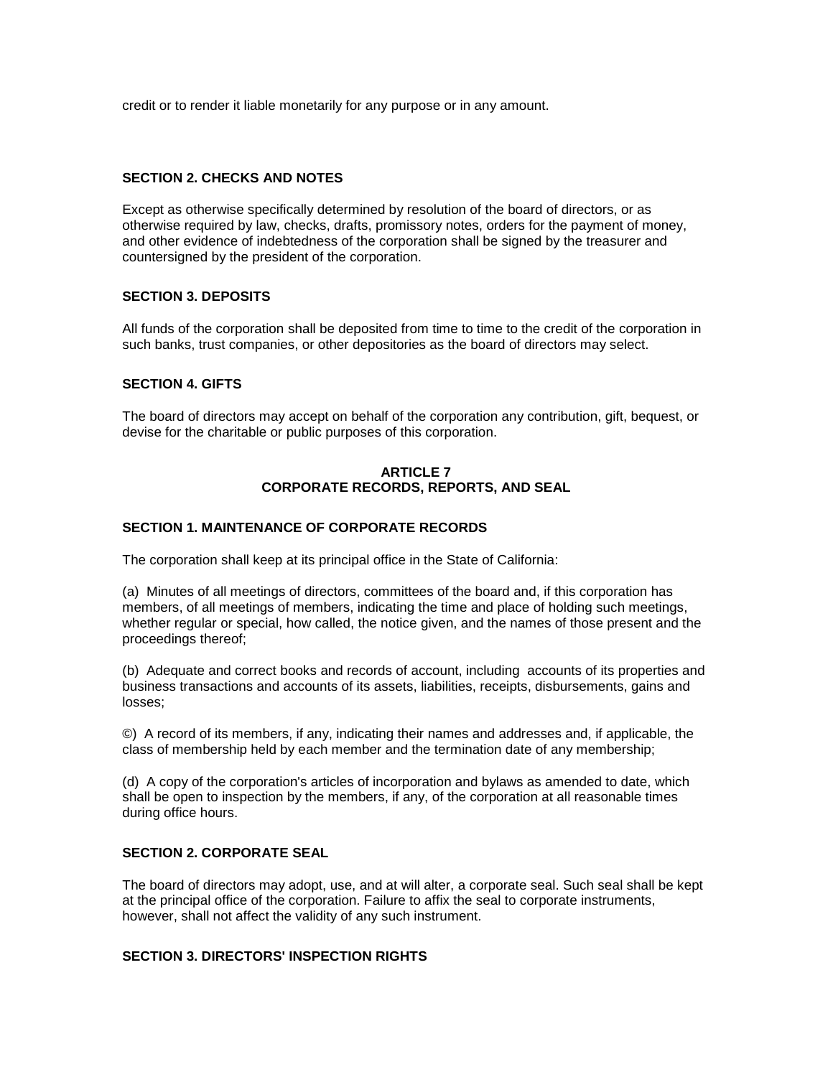credit or to render it liable monetarily for any purpose or in any amount.

#### **SECTION 2. CHECKS AND NOTES**

Except as otherwise specifically determined by resolution of the board of directors, or as otherwise required by law, checks, drafts, promissory notes, orders for the payment of money, and other evidence of indebtedness of the corporation shall be signed by the treasurer and countersigned by the president of the corporation.

#### **SECTION 3. DEPOSITS**

All funds of the corporation shall be deposited from time to time to the credit of the corporation in such banks, trust companies, or other depositories as the board of directors may select.

#### **SECTION 4. GIFTS**

The board of directors may accept on behalf of the corporation any contribution, gift, bequest, or devise for the charitable or public purposes of this corporation.

#### **ARTICLE 7 CORPORATE RECORDS, REPORTS, AND SEAL**

### **SECTION 1. MAINTENANCE OF CORPORATE RECORDS**

The corporation shall keep at its principal office in the State of California:

(a) Minutes of all meetings of directors, committees of the board and, if this corporation has members, of all meetings of members, indicating the time and place of holding such meetings, whether regular or special, how called, the notice given, and the names of those present and the proceedings thereof;

(b) Adequate and correct books and records of account, including accounts of its properties and business transactions and accounts of its assets, liabilities, receipts, disbursements, gains and losses;

©) A record of its members, if any, indicating their names and addresses and, if applicable, the class of membership held by each member and the termination date of any membership;

(d) A copy of the corporation's articles of incorporation and bylaws as amended to date, which shall be open to inspection by the members, if any, of the corporation at all reasonable times during office hours.

## **SECTION 2. CORPORATE SEAL**

The board of directors may adopt, use, and at will alter, a corporate seal. Such seal shall be kept at the principal office of the corporation. Failure to affix the seal to corporate instruments, however, shall not affect the validity of any such instrument.

#### **SECTION 3. DIRECTORS' INSPECTION RIGHTS**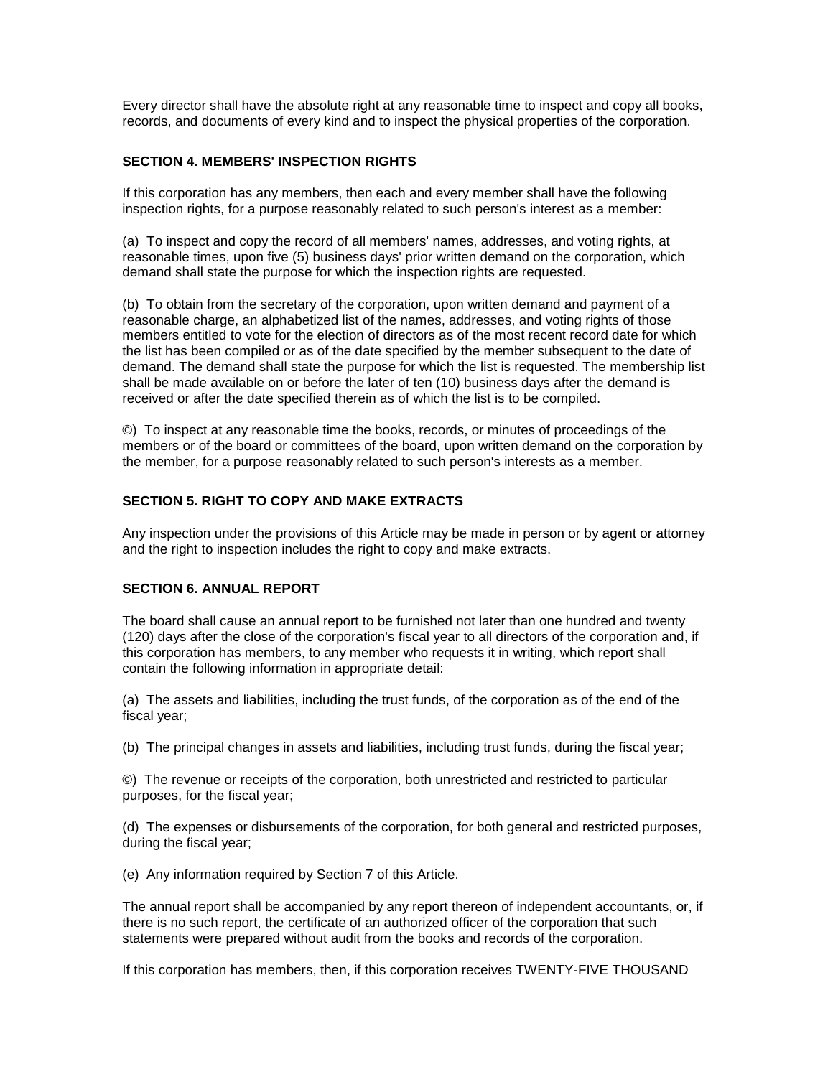Every director shall have the absolute right at any reasonable time to inspect and copy all books, records, and documents of every kind and to inspect the physical properties of the corporation.

## **SECTION 4. MEMBERS' INSPECTION RIGHTS**

If this corporation has any members, then each and every member shall have the following inspection rights, for a purpose reasonably related to such person's interest as a member:

(a) To inspect and copy the record of all members' names, addresses, and voting rights, at reasonable times, upon five (5) business days' prior written demand on the corporation, which demand shall state the purpose for which the inspection rights are requested.

(b) To obtain from the secretary of the corporation, upon written demand and payment of a reasonable charge, an alphabetized list of the names, addresses, and voting rights of those members entitled to vote for the election of directors as of the most recent record date for which the list has been compiled or as of the date specified by the member subsequent to the date of demand. The demand shall state the purpose for which the list is requested. The membership list shall be made available on or before the later of ten (10) business days after the demand is received or after the date specified therein as of which the list is to be compiled.

©) To inspect at any reasonable time the books, records, or minutes of proceedings of the members or of the board or committees of the board, upon written demand on the corporation by the member, for a purpose reasonably related to such person's interests as a member.

## **SECTION 5. RIGHT TO COPY AND MAKE EXTRACTS**

Any inspection under the provisions of this Article may be made in person or by agent or attorney and the right to inspection includes the right to copy and make extracts.

### **SECTION 6. ANNUAL REPORT**

The board shall cause an annual report to be furnished not later than one hundred and twenty (120) days after the close of the corporation's fiscal year to all directors of the corporation and, if this corporation has members, to any member who requests it in writing, which report shall contain the following information in appropriate detail:

(a) The assets and liabilities, including the trust funds, of the corporation as of the end of the fiscal year;

(b) The principal changes in assets and liabilities, including trust funds, during the fiscal year;

©) The revenue or receipts of the corporation, both unrestricted and restricted to particular purposes, for the fiscal year;

(d) The expenses or disbursements of the corporation, for both general and restricted purposes, during the fiscal year;

(e) Any information required by Section 7 of this Article.

The annual report shall be accompanied by any report thereon of independent accountants, or, if there is no such report, the certificate of an authorized officer of the corporation that such statements were prepared without audit from the books and records of the corporation.

If this corporation has members, then, if this corporation receives TWENTY-FIVE THOUSAND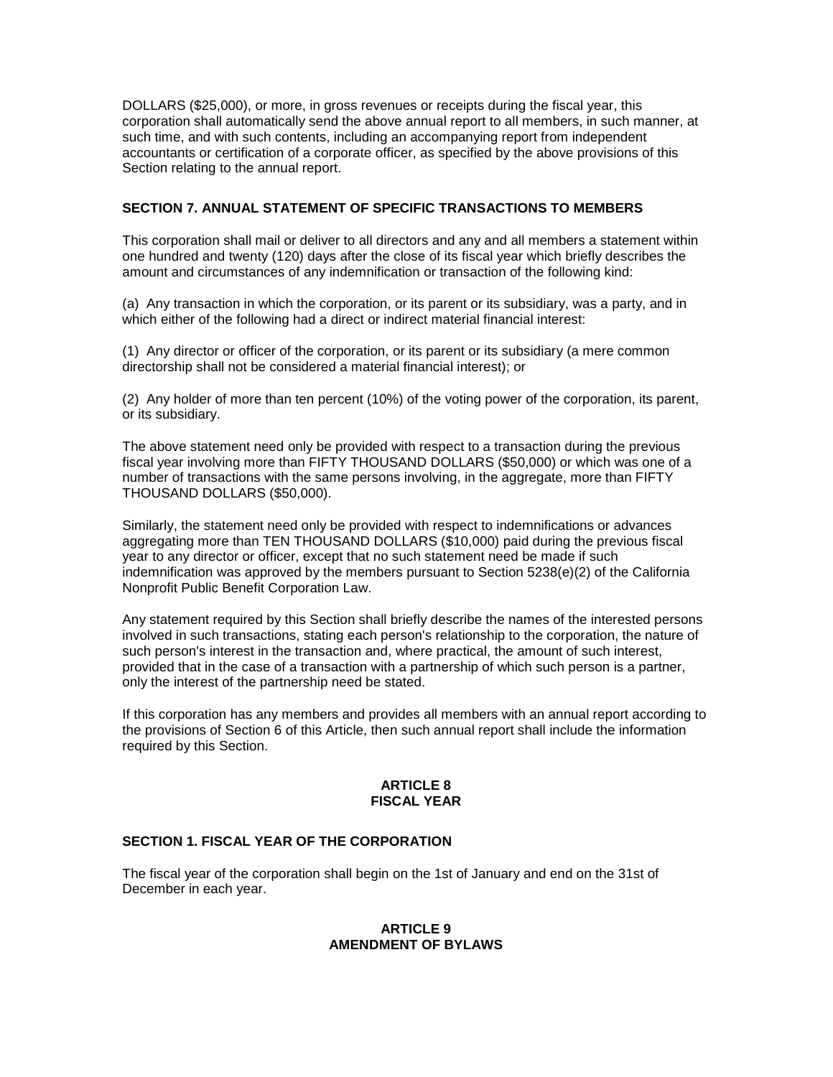DOLLARS (\$25,000), or more, in gross revenues or receipts during the fiscal year, this corporation shall automatically send the above annual report to all members, in such manner, at such time, and with such contents, including an accompanying report from independent accountants or certification of a corporate officer, as specified by the above provisions of this Section relating to the annual report.

## **SECTION 7. ANNUAL STATEMENT OF SPECIFIC TRANSACTIONS TO MEMBERS**

This corporation shall mail or deliver to all directors and any and all members a statement within one hundred and twenty (120) days after the close of its fiscal year which briefly describes the amount and circumstances of any indemnification or transaction of the following kind:

(a) Any transaction in which the corporation, or its parent or its subsidiary, was a party, and in which either of the following had a direct or indirect material financial interest:

(1) Any director or officer of the corporation, or its parent or its subsidiary (a mere common directorship shall not be considered a material financial interest); or

(2) Any holder of more than ten percent (10%) of the voting power of the corporation, its parent, or its subsidiary.

The above statement need only be provided with respect to a transaction during the previous fiscal year involving more than FIFTY THOUSAND DOLLARS (\$50,000) or which was one of a number of transactions with the same persons involving, in the aggregate, more than FIFTY THOUSAND DOLLARS (\$50,000).

Similarly, the statement need only be provided with respect to indemnifications or advances aggregating more than TEN THOUSAND DOLLARS (\$10,000) paid during the previous fiscal year to any director or officer, except that no such statement need be made if such indemnification was approved by the members pursuant to Section 5238(e)(2) of the California Nonprofit Public Benefit Corporation Law.

Any statement required by this Section shall briefly describe the names of the interested persons involved in such transactions, stating each person's relationship to the corporation, the nature of such person's interest in the transaction and, where practical, the amount of such interest, provided that in the case of a transaction with a partnership of which such person is a partner, only the interest of the partnership need be stated.

If this corporation has any members and provides all members with an annual report according to the provisions of Section 6 of this Article, then such annual report shall include the information required by this Section.

#### **ARTICLE 8 FISCAL YEAR**

### **SECTION 1. FISCAL YEAR OF THE CORPORATION**

The fiscal year of the corporation shall begin on the 1st of January and end on the 31st of December in each year.

#### **ARTICLE 9 AMENDMENT OF BYLAWS**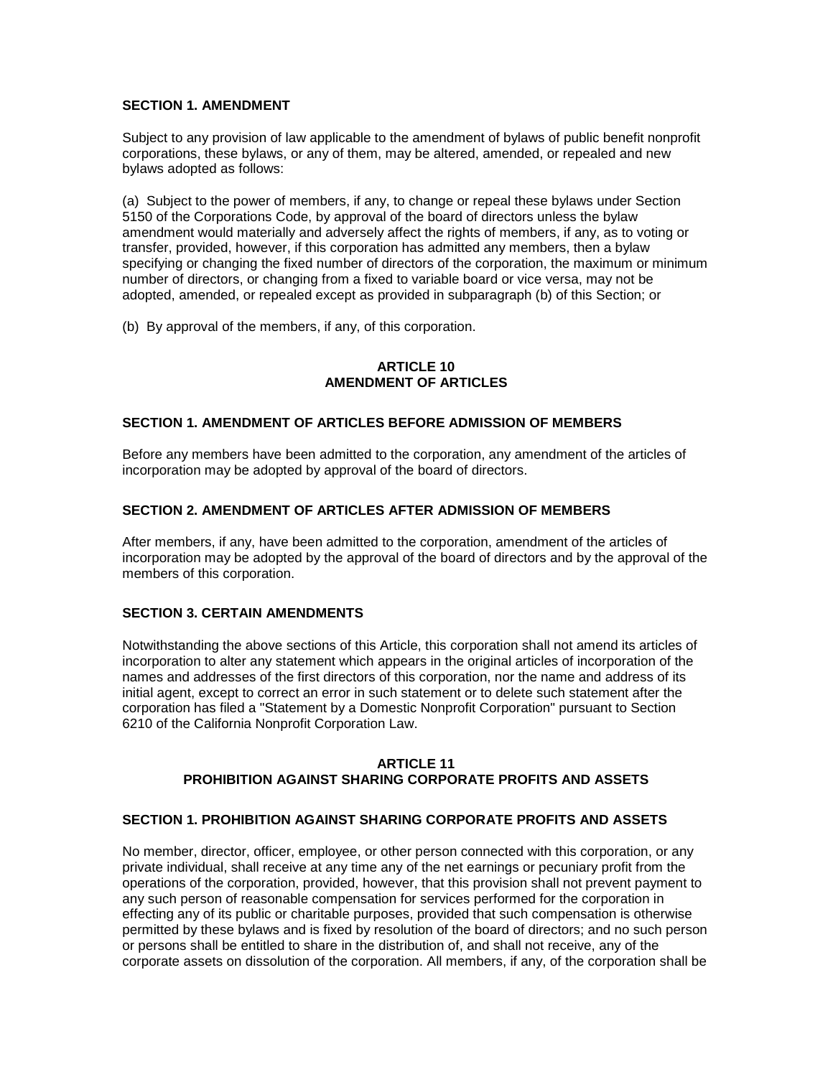## **SECTION 1. AMENDMENT**

Subject to any provision of law applicable to the amendment of bylaws of public benefit nonprofit corporations, these bylaws, or any of them, may be altered, amended, or repealed and new bylaws adopted as follows:

(a) Subject to the power of members, if any, to change or repeal these bylaws under Section 5150 of the Corporations Code, by approval of the board of directors unless the bylaw amendment would materially and adversely affect the rights of members, if any, as to voting or transfer, provided, however, if this corporation has admitted any members, then a bylaw specifying or changing the fixed number of directors of the corporation, the maximum or minimum number of directors, or changing from a fixed to variable board or vice versa, may not be adopted, amended, or repealed except as provided in subparagraph (b) of this Section; or

(b) By approval of the members, if any, of this corporation.

## **ARTICLE 10 AMENDMENT OF ARTICLES**

## **SECTION 1. AMENDMENT OF ARTICLES BEFORE ADMISSION OF MEMBERS**

Before any members have been admitted to the corporation, any amendment of the articles of incorporation may be adopted by approval of the board of directors.

### **SECTION 2. AMENDMENT OF ARTICLES AFTER ADMISSION OF MEMBERS**

After members, if any, have been admitted to the corporation, amendment of the articles of incorporation may be adopted by the approval of the board of directors and by the approval of the members of this corporation.

## **SECTION 3. CERTAIN AMENDMENTS**

Notwithstanding the above sections of this Article, this corporation shall not amend its articles of incorporation to alter any statement which appears in the original articles of incorporation of the names and addresses of the first directors of this corporation, nor the name and address of its initial agent, except to correct an error in such statement or to delete such statement after the corporation has filed a "Statement by a Domestic Nonprofit Corporation" pursuant to Section 6210 of the California Nonprofit Corporation Law.

### **ARTICLE 11 PROHIBITION AGAINST SHARING CORPORATE PROFITS AND ASSETS**

### **SECTION 1. PROHIBITION AGAINST SHARING CORPORATE PROFITS AND ASSETS**

No member, director, officer, employee, or other person connected with this corporation, or any private individual, shall receive at any time any of the net earnings or pecuniary profit from the operations of the corporation, provided, however, that this provision shall not prevent payment to any such person of reasonable compensation for services performed for the corporation in effecting any of its public or charitable purposes, provided that such compensation is otherwise permitted by these bylaws and is fixed by resolution of the board of directors; and no such person or persons shall be entitled to share in the distribution of, and shall not receive, any of the corporate assets on dissolution of the corporation. All members, if any, of the corporation shall be